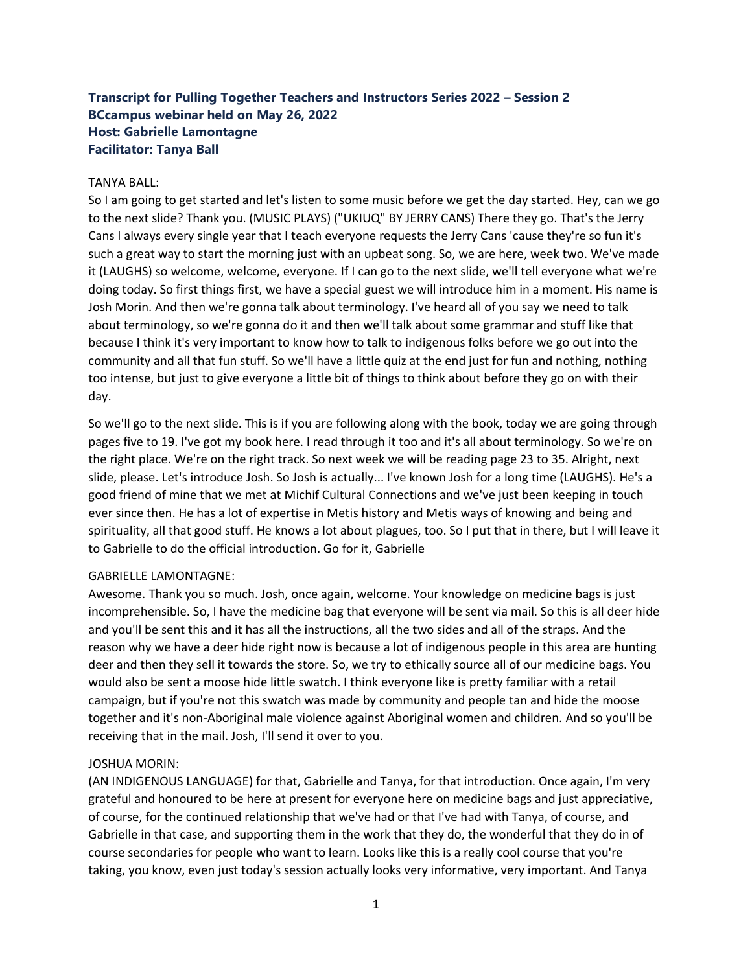# **Transcript for Pulling Together Teachers and Instructors Series 2022 – Session 2 BCcampus webinar held on May 26, 2022 Host: Gabrielle Lamontagne Facilitator: Tanya Ball**

### TANYA BALL:

So I am going to get started and let's listen to some music before we get the day started. Hey, can we go to the next slide? Thank you. (MUSIC PLAYS) ("UKIUQ" BY JERRY CANS) There they go. That's the Jerry Cans I always every single year that I teach everyone requests the Jerry Cans 'cause they're so fun it's such a great way to start the morning just with an upbeat song. So, we are here, week two. We've made it (LAUGHS) so welcome, welcome, everyone. If I can go to the next slide, we'll tell everyone what we're doing today. So first things first, we have a special guest we will introduce him in a moment. His name is Josh Morin. And then we're gonna talk about terminology. I've heard all of you say we need to talk about terminology, so we're gonna do it and then we'll talk about some grammar and stuff like that because I think it's very important to know how to talk to indigenous folks before we go out into the community and all that fun stuff. So we'll have a little quiz at the end just for fun and nothing, nothing too intense, but just to give everyone a little bit of things to think about before they go on with their day.

So we'll go to the next slide. This is if you are following along with the book, today we are going through pages five to 19. I've got my book here. I read through it too and it's all about terminology. So we're on the right place. We're on the right track. So next week we will be reading page 23 to 35. Alright, next slide, please. Let's introduce Josh. So Josh is actually... I've known Josh for a long time (LAUGHS). He's a good friend of mine that we met at Michif Cultural Connections and we've just been keeping in touch ever since then. He has a lot of expertise in Metis history and Metis ways of knowing and being and spirituality, all that good stuff. He knows a lot about plagues, too. So I put that in there, but I will leave it to Gabrielle to do the official introduction. Go for it, Gabrielle

### GABRIELLE LAMONTAGNE:

Awesome. Thank you so much. Josh, once again, welcome. Your knowledge on medicine bags is just incomprehensible. So, I have the medicine bag that everyone will be sent via mail. So this is all deer hide and you'll be sent this and it has all the instructions, all the two sides and all of the straps. And the reason why we have a deer hide right now is because a lot of indigenous people in this area are hunting deer and then they sell it towards the store. So, we try to ethically source all of our medicine bags. You would also be sent a moose hide little swatch. I think everyone like is pretty familiar with a retail campaign, but if you're not this swatch was made by community and people tan and hide the moose together and it's non-Aboriginal male violence against Aboriginal women and children. And so you'll be receiving that in the mail. Josh, I'll send it over to you.

## JOSHUA MORIN:

(AN INDIGENOUS LANGUAGE) for that, Gabrielle and Tanya, for that introduction. Once again, I'm very grateful and honoured to be here at present for everyone here on medicine bags and just appreciative, of course, for the continued relationship that we've had or that I've had with Tanya, of course, and Gabrielle in that case, and supporting them in the work that they do, the wonderful that they do in of course secondaries for people who want to learn. Looks like this is a really cool course that you're taking, you know, even just today's session actually looks very informative, very important. And Tanya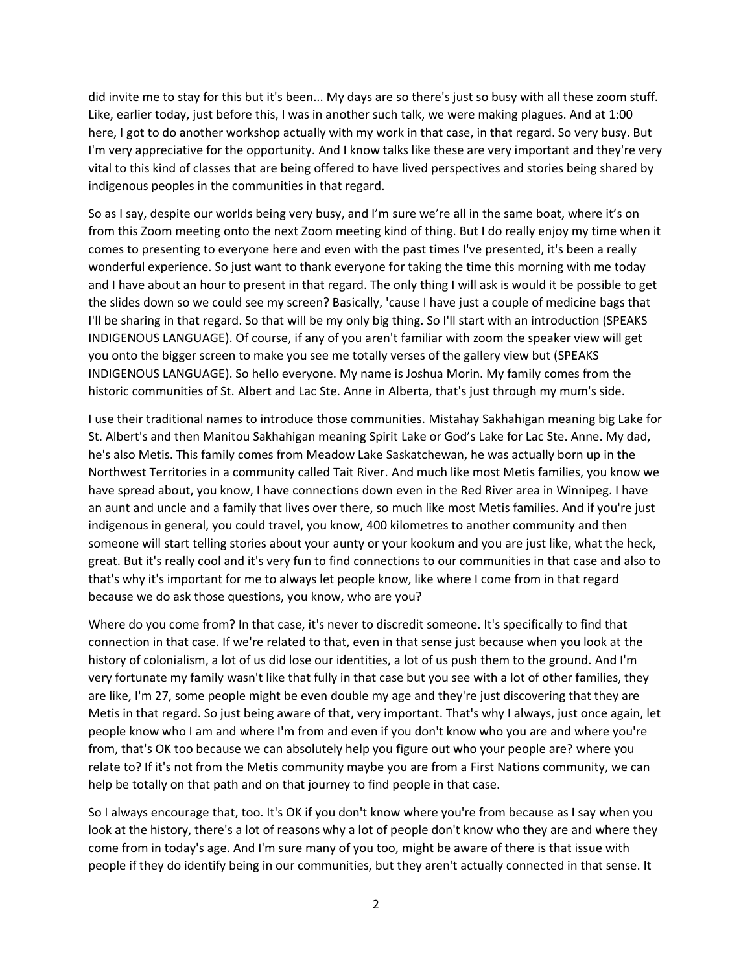did invite me to stay for this but it's been... My days are so there's just so busy with all these zoom stuff. Like, earlier today, just before this, I was in another such talk, we were making plagues. And at 1:00 here, I got to do another workshop actually with my work in that case, in that regard. So very busy. But I'm very appreciative for the opportunity. And I know talks like these are very important and they're very vital to this kind of classes that are being offered to have lived perspectives and stories being shared by indigenous peoples in the communities in that regard.

So as I say, despite our worlds being very busy, and I'm sure we're all in the same boat, where it's on from this Zoom meeting onto the next Zoom meeting kind of thing. But I do really enjoy my time when it comes to presenting to everyone here and even with the past times I've presented, it's been a really wonderful experience. So just want to thank everyone for taking the time this morning with me today and I have about an hour to present in that regard. The only thing I will ask is would it be possible to get the slides down so we could see my screen? Basically, 'cause I have just a couple of medicine bags that I'll be sharing in that regard. So that will be my only big thing. So I'll start with an introduction (SPEAKS INDIGENOUS LANGUAGE). Of course, if any of you aren't familiar with zoom the speaker view will get you onto the bigger screen to make you see me totally verses of the gallery view but (SPEAKS INDIGENOUS LANGUAGE). So hello everyone. My name is Joshua Morin. My family comes from the historic communities of St. Albert and Lac Ste. Anne in Alberta, that's just through my mum's side.

I use their traditional names to introduce those communities. Mistahay Sakhahigan meaning big Lake for St. Albert's and then Manitou Sakhahigan meaning Spirit Lake or God's Lake for Lac Ste. Anne. My dad, he's also Metis. This family comes from Meadow Lake Saskatchewan, he was actually born up in the Northwest Territories in a community called Tait River. And much like most Metis families, you know we have spread about, you know, I have connections down even in the Red River area in Winnipeg. I have an aunt and uncle and a family that lives over there, so much like most Metis families. And if you're just indigenous in general, you could travel, you know, 400 kilometres to another community and then someone will start telling stories about your aunty or your kookum and you are just like, what the heck, great. But it's really cool and it's very fun to find connections to our communities in that case and also to that's why it's important for me to always let people know, like where I come from in that regard because we do ask those questions, you know, who are you?

Where do you come from? In that case, it's never to discredit someone. It's specifically to find that connection in that case. If we're related to that, even in that sense just because when you look at the history of colonialism, a lot of us did lose our identities, a lot of us push them to the ground. And I'm very fortunate my family wasn't like that fully in that case but you see with a lot of other families, they are like, I'm 27, some people might be even double my age and they're just discovering that they are Metis in that regard. So just being aware of that, very important. That's why I always, just once again, let people know who I am and where I'm from and even if you don't know who you are and where you're from, that's OK too because we can absolutely help you figure out who your people are? where you relate to? If it's not from the Metis community maybe you are from a First Nations community, we can help be totally on that path and on that journey to find people in that case.

So I always encourage that, too. It's OK if you don't know where you're from because as I say when you look at the history, there's a lot of reasons why a lot of people don't know who they are and where they come from in today's age. And I'm sure many of you too, might be aware of there is that issue with people if they do identify being in our communities, but they aren't actually connected in that sense. It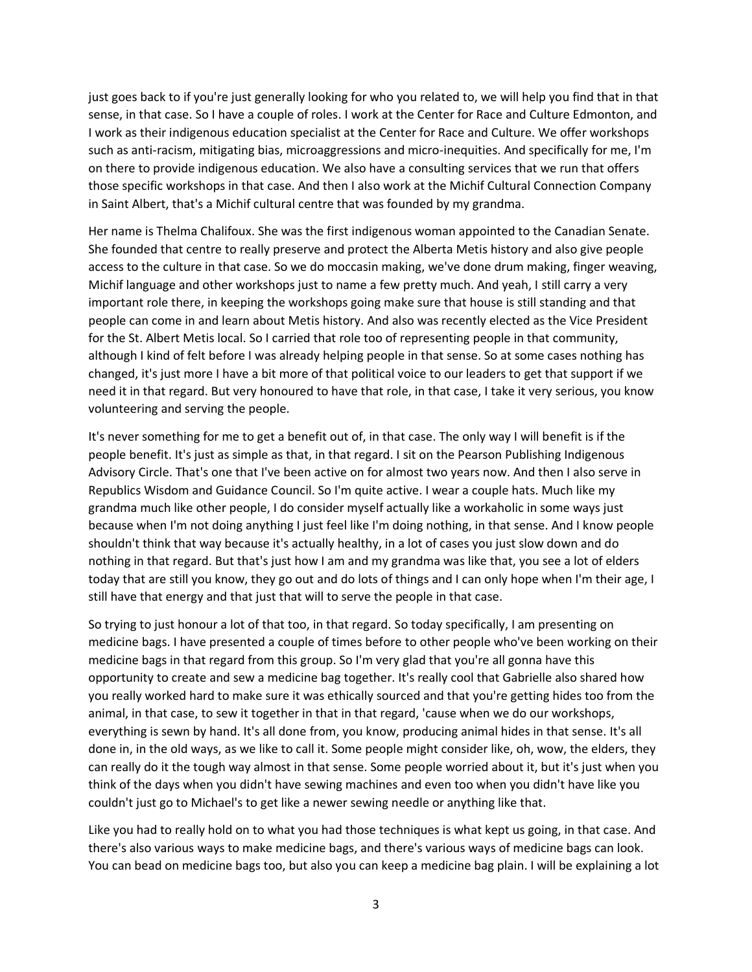just goes back to if you're just generally looking for who you related to, we will help you find that in that sense, in that case. So I have a couple of roles. I work at the Center for Race and Culture Edmonton, and I work as their indigenous education specialist at the Center for Race and Culture. We offer workshops such as anti-racism, mitigating bias, microaggressions and micro-inequities. And specifically for me, I'm on there to provide indigenous education. We also have a consulting services that we run that offers those specific workshops in that case. And then I also work at the Michif Cultural Connection Company in Saint Albert, that's a Michif cultural centre that was founded by my grandma.

Her name is Thelma Chalifoux. She was the first indigenous woman appointed to the Canadian Senate. She founded that centre to really preserve and protect the Alberta Metis history and also give people access to the culture in that case. So we do moccasin making, we've done drum making, finger weaving, Michif language and other workshops just to name a few pretty much. And yeah, I still carry a very important role there, in keeping the workshops going make sure that house is still standing and that people can come in and learn about Metis history. And also was recently elected as the Vice President for the St. Albert Metis local. So I carried that role too of representing people in that community, although I kind of felt before I was already helping people in that sense. So at some cases nothing has changed, it's just more I have a bit more of that political voice to our leaders to get that support if we need it in that regard. But very honoured to have that role, in that case, I take it very serious, you know volunteering and serving the people.

It's never something for me to get a benefit out of, in that case. The only way I will benefit is if the people benefit. It's just as simple as that, in that regard. I sit on the Pearson Publishing Indigenous Advisory Circle. That's one that I've been active on for almost two years now. And then I also serve in Republics Wisdom and Guidance Council. So I'm quite active. I wear a couple hats. Much like my grandma much like other people, I do consider myself actually like a workaholic in some ways just because when I'm not doing anything I just feel like I'm doing nothing, in that sense. And I know people shouldn't think that way because it's actually healthy, in a lot of cases you just slow down and do nothing in that regard. But that's just how I am and my grandma was like that, you see a lot of elders today that are still you know, they go out and do lots of things and I can only hope when I'm their age, I still have that energy and that just that will to serve the people in that case.

So trying to just honour a lot of that too, in that regard. So today specifically, I am presenting on medicine bags. I have presented a couple of times before to other people who've been working on their medicine bags in that regard from this group. So I'm very glad that you're all gonna have this opportunity to create and sew a medicine bag together. It's really cool that Gabrielle also shared how you really worked hard to make sure it was ethically sourced and that you're getting hides too from the animal, in that case, to sew it together in that in that regard, 'cause when we do our workshops, everything is sewn by hand. It's all done from, you know, producing animal hides in that sense. It's all done in, in the old ways, as we like to call it. Some people might consider like, oh, wow, the elders, they can really do it the tough way almost in that sense. Some people worried about it, but it's just when you think of the days when you didn't have sewing machines and even too when you didn't have like you couldn't just go to Michael's to get like a newer sewing needle or anything like that.

Like you had to really hold on to what you had those techniques is what kept us going, in that case. And there's also various ways to make medicine bags, and there's various ways of medicine bags can look. You can bead on medicine bags too, but also you can keep a medicine bag plain. I will be explaining a lot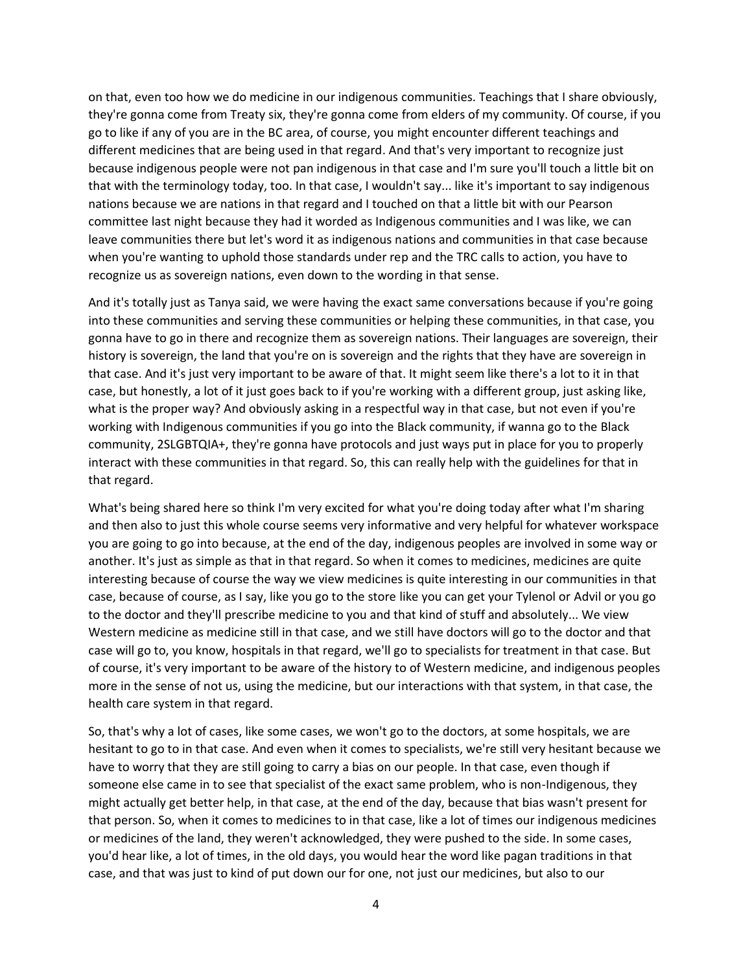on that, even too how we do medicine in our indigenous communities. Teachings that I share obviously, they're gonna come from Treaty six, they're gonna come from elders of my community. Of course, if you go to like if any of you are in the BC area, of course, you might encounter different teachings and different medicines that are being used in that regard. And that's very important to recognize just because indigenous people were not pan indigenous in that case and I'm sure you'll touch a little bit on that with the terminology today, too. In that case, I wouldn't say... like it's important to say indigenous nations because we are nations in that regard and I touched on that a little bit with our Pearson committee last night because they had it worded as Indigenous communities and I was like, we can leave communities there but let's word it as indigenous nations and communities in that case because when you're wanting to uphold those standards under rep and the TRC calls to action, you have to recognize us as sovereign nations, even down to the wording in that sense.

And it's totally just as Tanya said, we were having the exact same conversations because if you're going into these communities and serving these communities or helping these communities, in that case, you gonna have to go in there and recognize them as sovereign nations. Their languages are sovereign, their history is sovereign, the land that you're on is sovereign and the rights that they have are sovereign in that case. And it's just very important to be aware of that. It might seem like there's a lot to it in that case, but honestly, a lot of it just goes back to if you're working with a different group, just asking like, what is the proper way? And obviously asking in a respectful way in that case, but not even if you're working with Indigenous communities if you go into the Black community, if wanna go to the Black community, 2SLGBTQIA+, they're gonna have protocols and just ways put in place for you to properly interact with these communities in that regard. So, this can really help with the guidelines for that in that regard.

What's being shared here so think I'm very excited for what you're doing today after what I'm sharing and then also to just this whole course seems very informative and very helpful for whatever workspace you are going to go into because, at the end of the day, indigenous peoples are involved in some way or another. It's just as simple as that in that regard. So when it comes to medicines, medicines are quite interesting because of course the way we view medicines is quite interesting in our communities in that case, because of course, as I say, like you go to the store like you can get your Tylenol or Advil or you go to the doctor and they'll prescribe medicine to you and that kind of stuff and absolutely... We view Western medicine as medicine still in that case, and we still have doctors will go to the doctor and that case will go to, you know, hospitals in that regard, we'll go to specialists for treatment in that case. But of course, it's very important to be aware of the history to of Western medicine, and indigenous peoples more in the sense of not us, using the medicine, but our interactions with that system, in that case, the health care system in that regard.

So, that's why a lot of cases, like some cases, we won't go to the doctors, at some hospitals, we are hesitant to go to in that case. And even when it comes to specialists, we're still very hesitant because we have to worry that they are still going to carry a bias on our people. In that case, even though if someone else came in to see that specialist of the exact same problem, who is non-Indigenous, they might actually get better help, in that case, at the end of the day, because that bias wasn't present for that person. So, when it comes to medicines to in that case, like a lot of times our indigenous medicines or medicines of the land, they weren't acknowledged, they were pushed to the side. In some cases, you'd hear like, a lot of times, in the old days, you would hear the word like pagan traditions in that case, and that was just to kind of put down our for one, not just our medicines, but also to our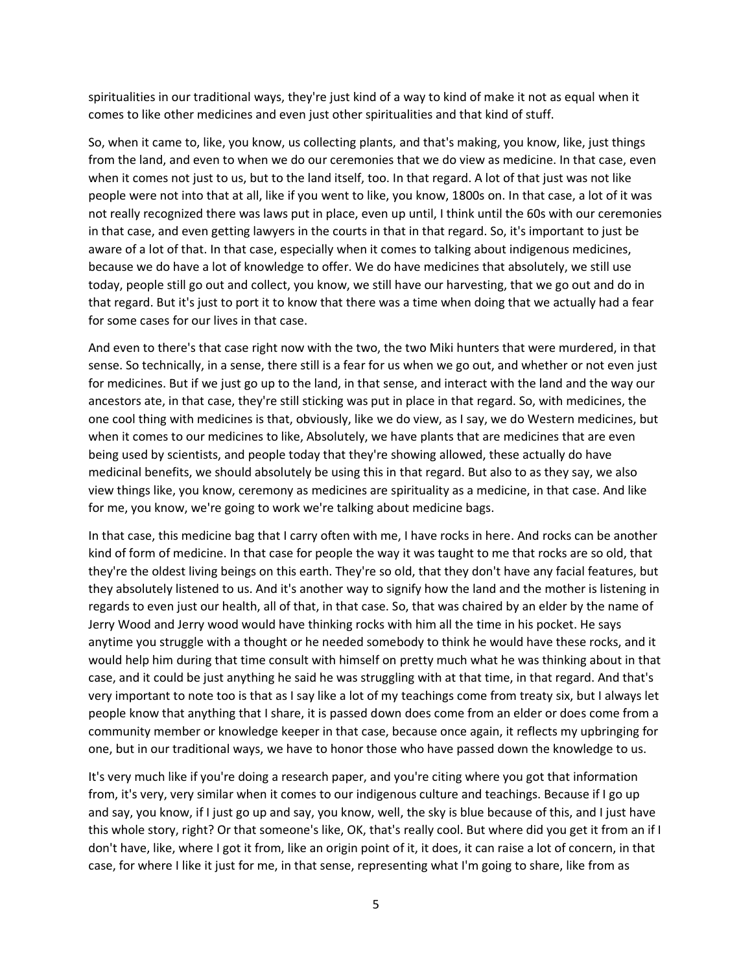spiritualities in our traditional ways, they're just kind of a way to kind of make it not as equal when it comes to like other medicines and even just other spiritualities and that kind of stuff.

So, when it came to, like, you know, us collecting plants, and that's making, you know, like, just things from the land, and even to when we do our ceremonies that we do view as medicine. In that case, even when it comes not just to us, but to the land itself, too. In that regard. A lot of that just was not like people were not into that at all, like if you went to like, you know, 1800s on. In that case, a lot of it was not really recognized there was laws put in place, even up until, I think until the 60s with our ceremonies in that case, and even getting lawyers in the courts in that in that regard. So, it's important to just be aware of a lot of that. In that case, especially when it comes to talking about indigenous medicines, because we do have a lot of knowledge to offer. We do have medicines that absolutely, we still use today, people still go out and collect, you know, we still have our harvesting, that we go out and do in that regard. But it's just to port it to know that there was a time when doing that we actually had a fear for some cases for our lives in that case.

And even to there's that case right now with the two, the two Miki hunters that were murdered, in that sense. So technically, in a sense, there still is a fear for us when we go out, and whether or not even just for medicines. But if we just go up to the land, in that sense, and interact with the land and the way our ancestors ate, in that case, they're still sticking was put in place in that regard. So, with medicines, the one cool thing with medicines is that, obviously, like we do view, as I say, we do Western medicines, but when it comes to our medicines to like, Absolutely, we have plants that are medicines that are even being used by scientists, and people today that they're showing allowed, these actually do have medicinal benefits, we should absolutely be using this in that regard. But also to as they say, we also view things like, you know, ceremony as medicines are spirituality as a medicine, in that case. And like for me, you know, we're going to work we're talking about medicine bags.

In that case, this medicine bag that I carry often with me, I have rocks in here. And rocks can be another kind of form of medicine. In that case for people the way it was taught to me that rocks are so old, that they're the oldest living beings on this earth. They're so old, that they don't have any facial features, but they absolutely listened to us. And it's another way to signify how the land and the mother is listening in regards to even just our health, all of that, in that case. So, that was chaired by an elder by the name of Jerry Wood and Jerry wood would have thinking rocks with him all the time in his pocket. He says anytime you struggle with a thought or he needed somebody to think he would have these rocks, and it would help him during that time consult with himself on pretty much what he was thinking about in that case, and it could be just anything he said he was struggling with at that time, in that regard. And that's very important to note too is that as I say like a lot of my teachings come from treaty six, but I always let people know that anything that I share, it is passed down does come from an elder or does come from a community member or knowledge keeper in that case, because once again, it reflects my upbringing for one, but in our traditional ways, we have to honor those who have passed down the knowledge to us.

It's very much like if you're doing a research paper, and you're citing where you got that information from, it's very, very similar when it comes to our indigenous culture and teachings. Because if I go up and say, you know, if I just go up and say, you know, well, the sky is blue because of this, and I just have this whole story, right? Or that someone's like, OK, that's really cool. But where did you get it from an if I don't have, like, where I got it from, like an origin point of it, it does, it can raise a lot of concern, in that case, for where I like it just for me, in that sense, representing what I'm going to share, like from as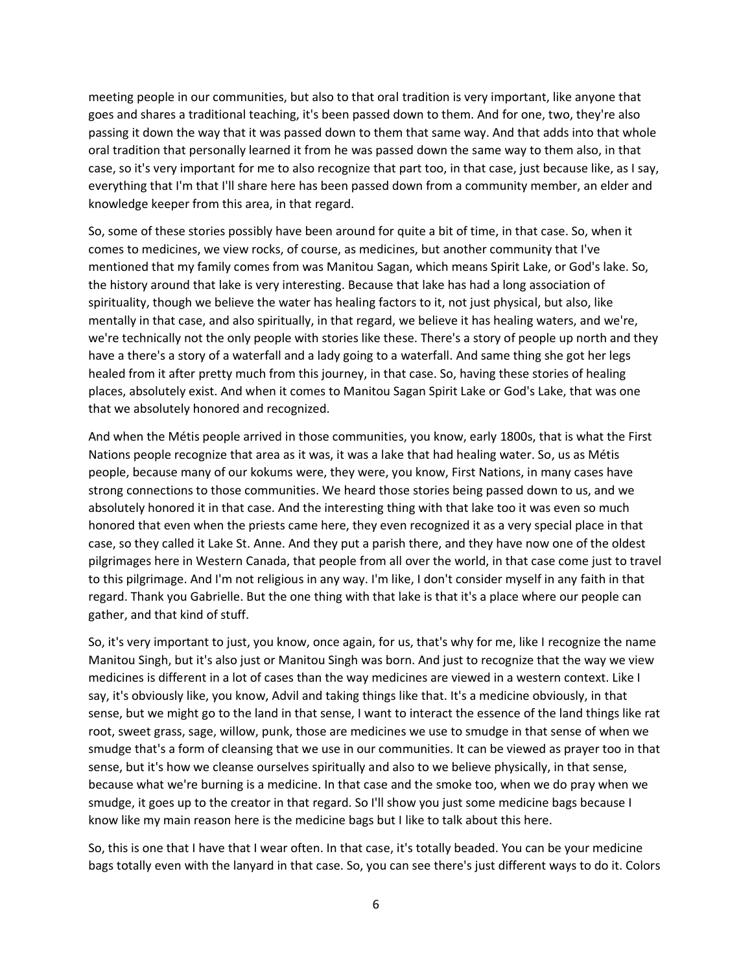meeting people in our communities, but also to that oral tradition is very important, like anyone that goes and shares a traditional teaching, it's been passed down to them. And for one, two, they're also passing it down the way that it was passed down to them that same way. And that adds into that whole oral tradition that personally learned it from he was passed down the same way to them also, in that case, so it's very important for me to also recognize that part too, in that case, just because like, as I say, everything that I'm that I'll share here has been passed down from a community member, an elder and knowledge keeper from this area, in that regard.

So, some of these stories possibly have been around for quite a bit of time, in that case. So, when it comes to medicines, we view rocks, of course, as medicines, but another community that I've mentioned that my family comes from was Manitou Sagan, which means Spirit Lake, or God's lake. So, the history around that lake is very interesting. Because that lake has had a long association of spirituality, though we believe the water has healing factors to it, not just physical, but also, like mentally in that case, and also spiritually, in that regard, we believe it has healing waters, and we're, we're technically not the only people with stories like these. There's a story of people up north and they have a there's a story of a waterfall and a lady going to a waterfall. And same thing she got her legs healed from it after pretty much from this journey, in that case. So, having these stories of healing places, absolutely exist. And when it comes to Manitou Sagan Spirit Lake or God's Lake, that was one that we absolutely honored and recognized.

And when the Métis people arrived in those communities, you know, early 1800s, that is what the First Nations people recognize that area as it was, it was a lake that had healing water. So, us as Métis people, because many of our kokums were, they were, you know, First Nations, in many cases have strong connections to those communities. We heard those stories being passed down to us, and we absolutely honored it in that case. And the interesting thing with that lake too it was even so much honored that even when the priests came here, they even recognized it as a very special place in that case, so they called it Lake St. Anne. And they put a parish there, and they have now one of the oldest pilgrimages here in Western Canada, that people from all over the world, in that case come just to travel to this pilgrimage. And I'm not religious in any way. I'm like, I don't consider myself in any faith in that regard. Thank you Gabrielle. But the one thing with that lake is that it's a place where our people can gather, and that kind of stuff.

So, it's very important to just, you know, once again, for us, that's why for me, like I recognize the name Manitou Singh, but it's also just or Manitou Singh was born. And just to recognize that the way we view medicines is different in a lot of cases than the way medicines are viewed in a western context. Like I say, it's obviously like, you know, Advil and taking things like that. It's a medicine obviously, in that sense, but we might go to the land in that sense, I want to interact the essence of the land things like rat root, sweet grass, sage, willow, punk, those are medicines we use to smudge in that sense of when we smudge that's a form of cleansing that we use in our communities. It can be viewed as prayer too in that sense, but it's how we cleanse ourselves spiritually and also to we believe physically, in that sense, because what we're burning is a medicine. In that case and the smoke too, when we do pray when we smudge, it goes up to the creator in that regard. So I'll show you just some medicine bags because I know like my main reason here is the medicine bags but I like to talk about this here.

So, this is one that I have that I wear often. In that case, it's totally beaded. You can be your medicine bags totally even with the lanyard in that case. So, you can see there's just different ways to do it. Colors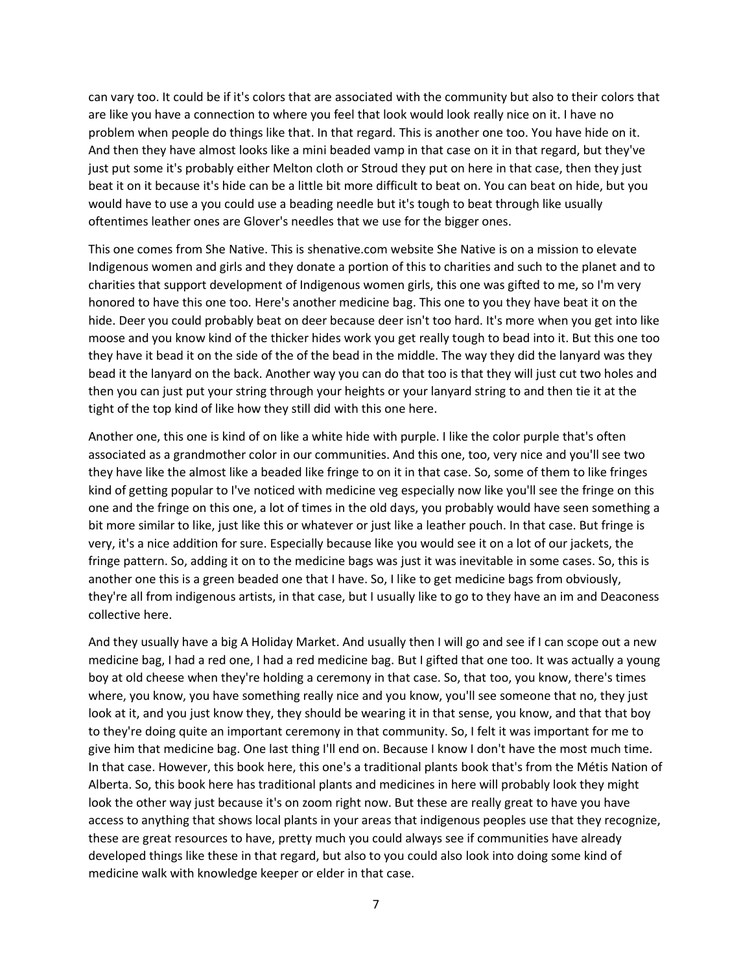can vary too. It could be if it's colors that are associated with the community but also to their colors that are like you have a connection to where you feel that look would look really nice on it. I have no problem when people do things like that. In that regard. This is another one too. You have hide on it. And then they have almost looks like a mini beaded vamp in that case on it in that regard, but they've just put some it's probably either Melton cloth or Stroud they put on here in that case, then they just beat it on it because it's hide can be a little bit more difficult to beat on. You can beat on hide, but you would have to use a you could use a beading needle but it's tough to beat through like usually oftentimes leather ones are Glover's needles that we use for the bigger ones.

This one comes from She Native. This is shenative.com website She Native is on a mission to elevate Indigenous women and girls and they donate a portion of this to charities and such to the planet and to charities that support development of Indigenous women girls, this one was gifted to me, so I'm very honored to have this one too. Here's another medicine bag. This one to you they have beat it on the hide. Deer you could probably beat on deer because deer isn't too hard. It's more when you get into like moose and you know kind of the thicker hides work you get really tough to bead into it. But this one too they have it bead it on the side of the of the bead in the middle. The way they did the lanyard was they bead it the lanyard on the back. Another way you can do that too is that they will just cut two holes and then you can just put your string through your heights or your lanyard string to and then tie it at the tight of the top kind of like how they still did with this one here.

Another one, this one is kind of on like a white hide with purple. I like the color purple that's often associated as a grandmother color in our communities. And this one, too, very nice and you'll see two they have like the almost like a beaded like fringe to on it in that case. So, some of them to like fringes kind of getting popular to I've noticed with medicine veg especially now like you'll see the fringe on this one and the fringe on this one, a lot of times in the old days, you probably would have seen something a bit more similar to like, just like this or whatever or just like a leather pouch. In that case. But fringe is very, it's a nice addition for sure. Especially because like you would see it on a lot of our jackets, the fringe pattern. So, adding it on to the medicine bags was just it was inevitable in some cases. So, this is another one this is a green beaded one that I have. So, I like to get medicine bags from obviously, they're all from indigenous artists, in that case, but I usually like to go to they have an im and Deaconess collective here.

And they usually have a big A Holiday Market. And usually then I will go and see if I can scope out a new medicine bag, I had a red one, I had a red medicine bag. But I gifted that one too. It was actually a young boy at old cheese when they're holding a ceremony in that case. So, that too, you know, there's times where, you know, you have something really nice and you know, you'll see someone that no, they just look at it, and you just know they, they should be wearing it in that sense, you know, and that that boy to they're doing quite an important ceremony in that community. So, I felt it was important for me to give him that medicine bag. One last thing I'll end on. Because I know I don't have the most much time. In that case. However, this book here, this one's a traditional plants book that's from the Métis Nation of Alberta. So, this book here has traditional plants and medicines in here will probably look they might look the other way just because it's on zoom right now. But these are really great to have you have access to anything that shows local plants in your areas that indigenous peoples use that they recognize, these are great resources to have, pretty much you could always see if communities have already developed things like these in that regard, but also to you could also look into doing some kind of medicine walk with knowledge keeper or elder in that case.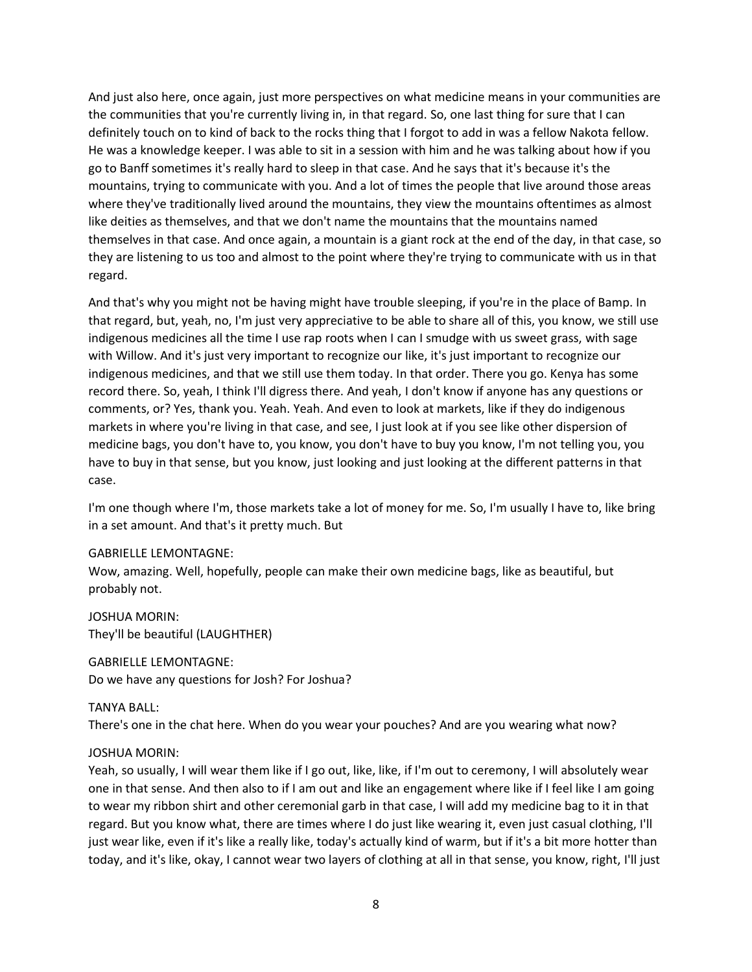And just also here, once again, just more perspectives on what medicine means in your communities are the communities that you're currently living in, in that regard. So, one last thing for sure that I can definitely touch on to kind of back to the rocks thing that I forgot to add in was a fellow Nakota fellow. He was a knowledge keeper. I was able to sit in a session with him and he was talking about how if you go to Banff sometimes it's really hard to sleep in that case. And he says that it's because it's the mountains, trying to communicate with you. And a lot of times the people that live around those areas where they've traditionally lived around the mountains, they view the mountains oftentimes as almost like deities as themselves, and that we don't name the mountains that the mountains named themselves in that case. And once again, a mountain is a giant rock at the end of the day, in that case, so they are listening to us too and almost to the point where they're trying to communicate with us in that regard.

And that's why you might not be having might have trouble sleeping, if you're in the place of Bamp. In that regard, but, yeah, no, I'm just very appreciative to be able to share all of this, you know, we still use indigenous medicines all the time I use rap roots when I can I smudge with us sweet grass, with sage with Willow. And it's just very important to recognize our like, it's just important to recognize our indigenous medicines, and that we still use them today. In that order. There you go. Kenya has some record there. So, yeah, I think I'll digress there. And yeah, I don't know if anyone has any questions or comments, or? Yes, thank you. Yeah. Yeah. And even to look at markets, like if they do indigenous markets in where you're living in that case, and see, I just look at if you see like other dispersion of medicine bags, you don't have to, you know, you don't have to buy you know, I'm not telling you, you have to buy in that sense, but you know, just looking and just looking at the different patterns in that case.

I'm one though where I'm, those markets take a lot of money for me. So, I'm usually I have to, like bring in a set amount. And that's it pretty much. But

## GABRIELLE LEMONTAGNE:

Wow, amazing. Well, hopefully, people can make their own medicine bags, like as beautiful, but probably not.

JOSHUA MORIN: They'll be beautiful (LAUGHTHER)

GABRIELLE LEMONTAGNE: Do we have any questions for Josh? For Joshua?

## TANYA BALL:

There's one in the chat here. When do you wear your pouches? And are you wearing what now?

## JOSHUA MORIN:

Yeah, so usually, I will wear them like if I go out, like, like, if I'm out to ceremony, I will absolutely wear one in that sense. And then also to if I am out and like an engagement where like if I feel like I am going to wear my ribbon shirt and other ceremonial garb in that case, I will add my medicine bag to it in that regard. But you know what, there are times where I do just like wearing it, even just casual clothing, I'll just wear like, even if it's like a really like, today's actually kind of warm, but if it's a bit more hotter than today, and it's like, okay, I cannot wear two layers of clothing at all in that sense, you know, right, I'll just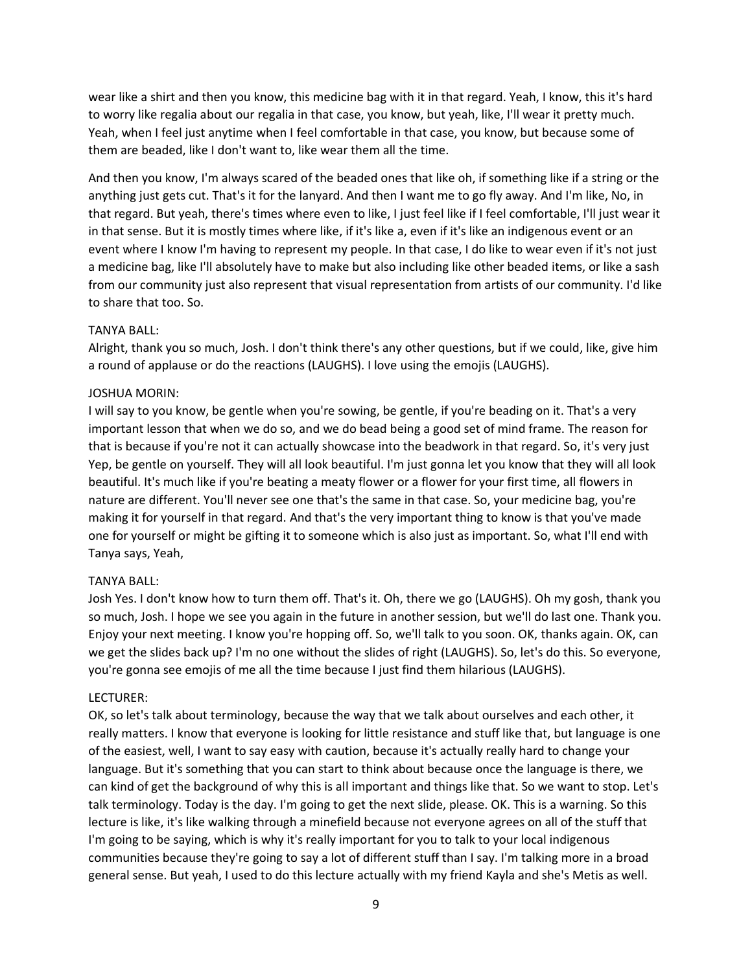wear like a shirt and then you know, this medicine bag with it in that regard. Yeah, I know, this it's hard to worry like regalia about our regalia in that case, you know, but yeah, like, I'll wear it pretty much. Yeah, when I feel just anytime when I feel comfortable in that case, you know, but because some of them are beaded, like I don't want to, like wear them all the time.

And then you know, I'm always scared of the beaded ones that like oh, if something like if a string or the anything just gets cut. That's it for the lanyard. And then I want me to go fly away. And I'm like, No, in that regard. But yeah, there's times where even to like, I just feel like if I feel comfortable, I'll just wear it in that sense. But it is mostly times where like, if it's like a, even if it's like an indigenous event or an event where I know I'm having to represent my people. In that case, I do like to wear even if it's not just a medicine bag, like I'll absolutely have to make but also including like other beaded items, or like a sash from our community just also represent that visual representation from artists of our community. I'd like to share that too. So.

## TANYA BALL:

Alright, thank you so much, Josh. I don't think there's any other questions, but if we could, like, give him a round of applause or do the reactions (LAUGHS). I love using the emojis (LAUGHS).

## JOSHUA MORIN:

I will say to you know, be gentle when you're sowing, be gentle, if you're beading on it. That's a very important lesson that when we do so, and we do bead being a good set of mind frame. The reason for that is because if you're not it can actually showcase into the beadwork in that regard. So, it's very just Yep, be gentle on yourself. They will all look beautiful. I'm just gonna let you know that they will all look beautiful. It's much like if you're beating a meaty flower or a flower for your first time, all flowers in nature are different. You'll never see one that's the same in that case. So, your medicine bag, you're making it for yourself in that regard. And that's the very important thing to know is that you've made one for yourself or might be gifting it to someone which is also just as important. So, what I'll end with Tanya says, Yeah,

# TANYA BALL:

Josh Yes. I don't know how to turn them off. That's it. Oh, there we go (LAUGHS). Oh my gosh, thank you so much, Josh. I hope we see you again in the future in another session, but we'll do last one. Thank you. Enjoy your next meeting. I know you're hopping off. So, we'll talk to you soon. OK, thanks again. OK, can we get the slides back up? I'm no one without the slides of right (LAUGHS). So, let's do this. So everyone, you're gonna see emojis of me all the time because I just find them hilarious (LAUGHS).

## LECTURER:

OK, so let's talk about terminology, because the way that we talk about ourselves and each other, it really matters. I know that everyone is looking for little resistance and stuff like that, but language is one of the easiest, well, I want to say easy with caution, because it's actually really hard to change your language. But it's something that you can start to think about because once the language is there, we can kind of get the background of why this is all important and things like that. So we want to stop. Let's talk terminology. Today is the day. I'm going to get the next slide, please. OK. This is a warning. So this lecture is like, it's like walking through a minefield because not everyone agrees on all of the stuff that I'm going to be saying, which is why it's really important for you to talk to your local indigenous communities because they're going to say a lot of different stuff than I say. I'm talking more in a broad general sense. But yeah, I used to do this lecture actually with my friend Kayla and she's Metis as well.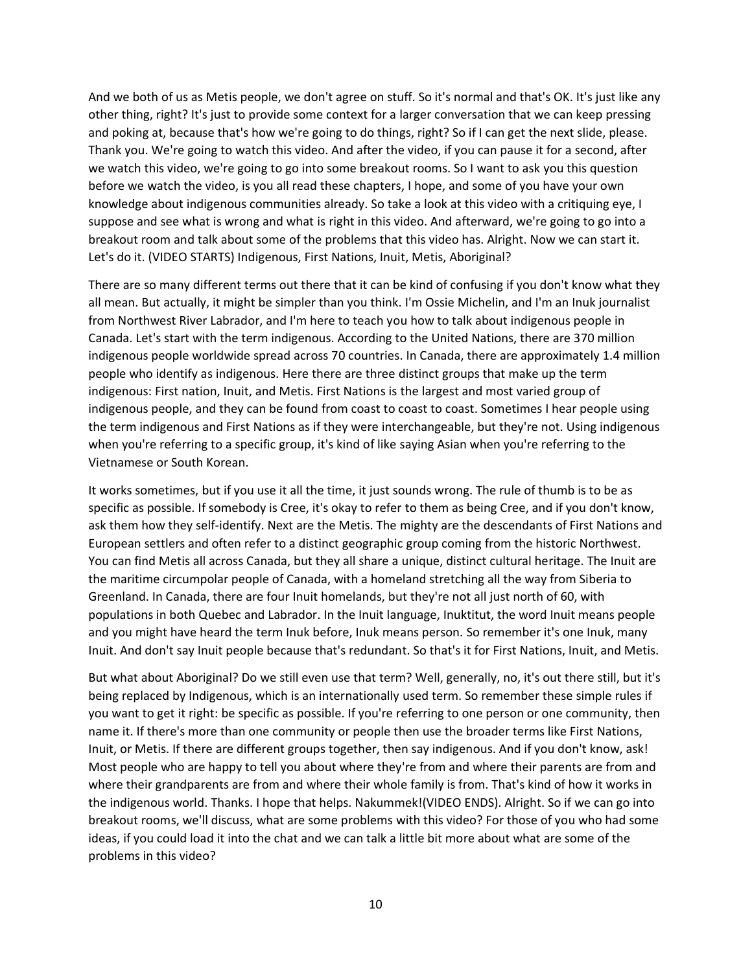And we both of us as Metis people, we don't agree on stuff. So it's normal and that's OK. It's just like any other thing, right? It's just to provide some context for a larger conversation that we can keep pressing and poking at, because that's how we're going to do things, right? So if I can get the next slide, please. Thank you. We're going to watch this video. And after the video, if you can pause it for a second, after we watch this video, we're going to go into some breakout rooms. So I want to ask you this question before we watch the video, is you all read these chapters, I hope, and some of you have your own knowledge about indigenous communities already. So take a look at this video with a critiquing eye, I suppose and see what is wrong and what is right in this video. And afterward, we're going to go into a breakout room and talk about some of the problems that this video has. Alright. Now we can start it. Let's do it. (VIDEO STARTS) Indigenous, First Nations, Inuit, Metis, Aboriginal?

There are so many different terms out there that it can be kind of confusing if you don't know what they all mean. But actually, it might be simpler than you think. I'm Ossie Michelin, and I'm an Inuk journalist from Northwest River Labrador, and I'm here to teach you how to talk about indigenous people in Canada. Let's start with the term indigenous. According to the United Nations, there are 370 million indigenous people worldwide spread across 70 countries. In Canada, there are approximately 1.4 million people who identify as indigenous. Here there are three distinct groups that make up the term indigenous: First nation, Inuit, and Metis. First Nations is the largest and most varied group of indigenous people, and they can be found from coast to coast to coast. Sometimes I hear people using the term indigenous and First Nations as if they were interchangeable, but they're not. Using indigenous when you're referring to a specific group, it's kind of like saying Asian when you're referring to the Vietnamese or South Korean.

It works sometimes, but if you use it all the time, it just sounds wrong. The rule of thumb is to be as specific as possible. If somebody is Cree, it's okay to refer to them as being Cree, and if you don't know, ask them how they self-identify. Next are the Metis. The mighty are the descendants of First Nations and European settlers and often refer to a distinct geographic group coming from the historic Northwest. You can find Metis all across Canada, but they all share a unique, distinct cultural heritage. The Inuit are the maritime circumpolar people of Canada, with a homeland stretching all the way from Siberia to Greenland. In Canada, there are four Inuit homelands, but they're not all just north of 60, with populations in both Quebec and Labrador. In the Inuit language, Inuktitut, the word Inuit means people and you might have heard the term Inuk before, Inuk means person. So remember it's one Inuk, many Inuit. And don't say Inuit people because that's redundant. So that's it for First Nations, Inuit, and Metis.

But what about Aboriginal? Do we still even use that term? Well, generally, no, it's out there still, but it's being replaced by Indigenous, which is an internationally used term. So remember these simple rules if you want to get it right: be specific as possible. If you're referring to one person or one community, then name it. If there's more than one community or people then use the broader terms like First Nations, Inuit, or Metis. If there are different groups together, then say indigenous. And if you don't know, ask! Most people who are happy to tell you about where they're from and where their parents are from and where their grandparents are from and where their whole family is from. That's kind of how it works in the indigenous world. Thanks. I hope that helps. Nakummek!(VIDEO ENDS). Alright. So if we can go into breakout rooms, we'll discuss, what are some problems with this video? For those of you who had some ideas, if you could load it into the chat and we can talk a little bit more about what are some of the problems in this video?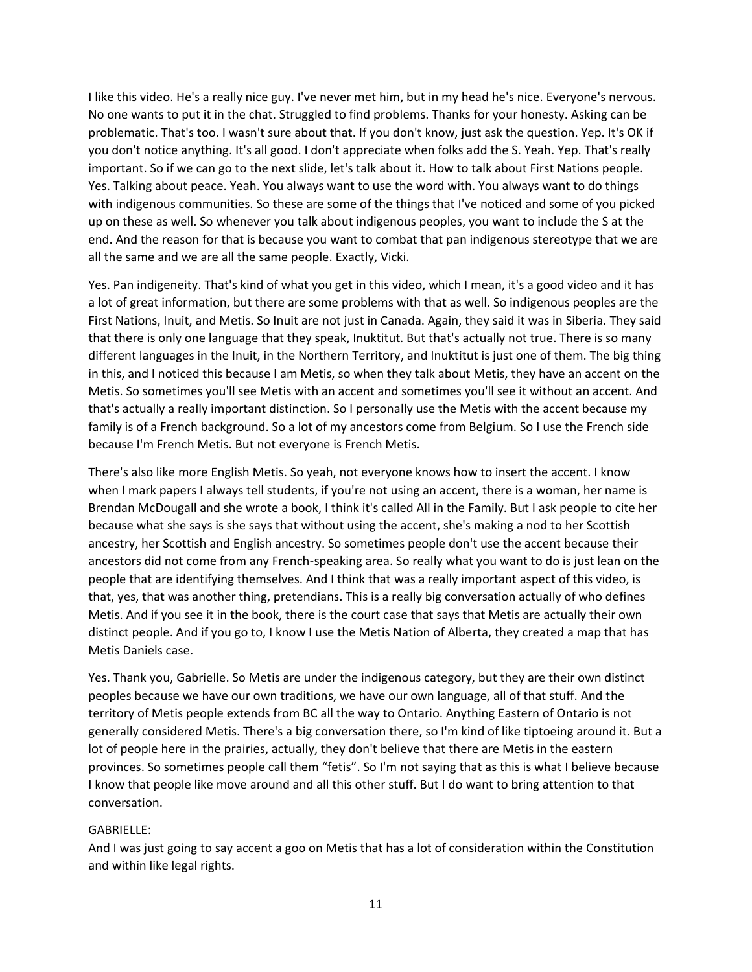I like this video. He's a really nice guy. I've never met him, but in my head he's nice. Everyone's nervous. No one wants to put it in the chat. Struggled to find problems. Thanks for your honesty. Asking can be problematic. That's too. I wasn't sure about that. If you don't know, just ask the question. Yep. It's OK if you don't notice anything. It's all good. I don't appreciate when folks add the S. Yeah. Yep. That's really important. So if we can go to the next slide, let's talk about it. How to talk about First Nations people. Yes. Talking about peace. Yeah. You always want to use the word with. You always want to do things with indigenous communities. So these are some of the things that I've noticed and some of you picked up on these as well. So whenever you talk about indigenous peoples, you want to include the S at the end. And the reason for that is because you want to combat that pan indigenous stereotype that we are all the same and we are all the same people. Exactly, Vicki.

Yes. Pan indigeneity. That's kind of what you get in this video, which I mean, it's a good video and it has a lot of great information, but there are some problems with that as well. So indigenous peoples are the First Nations, Inuit, and Metis. So Inuit are not just in Canada. Again, they said it was in Siberia. They said that there is only one language that they speak, Inuktitut. But that's actually not true. There is so many different languages in the Inuit, in the Northern Territory, and Inuktitut is just one of them. The big thing in this, and I noticed this because I am Metis, so when they talk about Metis, they have an accent on the Metis. So sometimes you'll see Metis with an accent and sometimes you'll see it without an accent. And that's actually a really important distinction. So I personally use the Metis with the accent because my family is of a French background. So a lot of my ancestors come from Belgium. So I use the French side because I'm French Metis. But not everyone is French Metis.

There's also like more English Metis. So yeah, not everyone knows how to insert the accent. I know when I mark papers I always tell students, if you're not using an accent, there is a woman, her name is Brendan McDougall and she wrote a book, I think it's called All in the Family. But I ask people to cite her because what she says is she says that without using the accent, she's making a nod to her Scottish ancestry, her Scottish and English ancestry. So sometimes people don't use the accent because their ancestors did not come from any French-speaking area. So really what you want to do is just lean on the people that are identifying themselves. And I think that was a really important aspect of this video, is that, yes, that was another thing, pretendians. This is a really big conversation actually of who defines Metis. And if you see it in the book, there is the court case that says that Metis are actually their own distinct people. And if you go to, I know I use the Metis Nation of Alberta, they created a map that has Metis Daniels case.

Yes. Thank you, Gabrielle. So Metis are under the indigenous category, but they are their own distinct peoples because we have our own traditions, we have our own language, all of that stuff. And the territory of Metis people extends from BC all the way to Ontario. Anything Eastern of Ontario is not generally considered Metis. There's a big conversation there, so I'm kind of like tiptoeing around it. But a lot of people here in the prairies, actually, they don't believe that there are Metis in the eastern provinces. So sometimes people call them "fetis". So I'm not saying that as this is what I believe because I know that people like move around and all this other stuff. But I do want to bring attention to that conversation.

### GABRIELLE:

And I was just going to say accent a goo on Metis that has a lot of consideration within the Constitution and within like legal rights.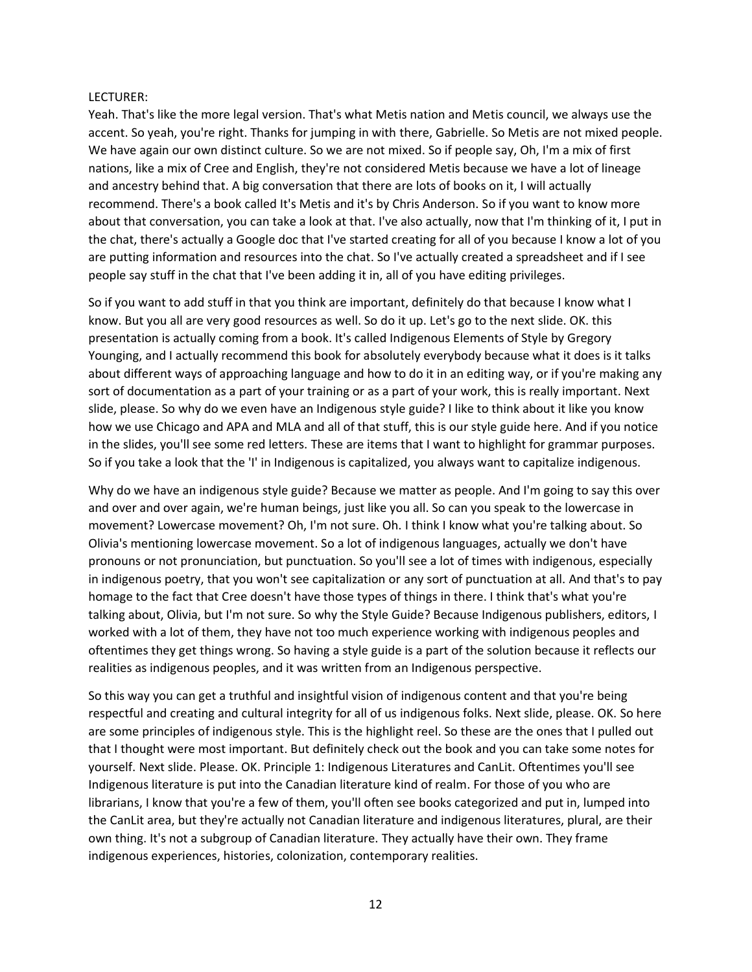### LECTURER:

Yeah. That's like the more legal version. That's what Metis nation and Metis council, we always use the accent. So yeah, you're right. Thanks for jumping in with there, Gabrielle. So Metis are not mixed people. We have again our own distinct culture. So we are not mixed. So if people say, Oh, I'm a mix of first nations, like a mix of Cree and English, they're not considered Metis because we have a lot of lineage and ancestry behind that. A big conversation that there are lots of books on it, I will actually recommend. There's a book called It's Metis and it's by Chris Anderson. So if you want to know more about that conversation, you can take a look at that. I've also actually, now that I'm thinking of it, I put in the chat, there's actually a Google doc that I've started creating for all of you because I know a lot of you are putting information and resources into the chat. So I've actually created a spreadsheet and if I see people say stuff in the chat that I've been adding it in, all of you have editing privileges.

So if you want to add stuff in that you think are important, definitely do that because I know what I know. But you all are very good resources as well. So do it up. Let's go to the next slide. OK. this presentation is actually coming from a book. It's called Indigenous Elements of Style by Gregory Younging, and I actually recommend this book for absolutely everybody because what it does is it talks about different ways of approaching language and how to do it in an editing way, or if you're making any sort of documentation as a part of your training or as a part of your work, this is really important. Next slide, please. So why do we even have an Indigenous style guide? I like to think about it like you know how we use Chicago and APA and MLA and all of that stuff, this is our style guide here. And if you notice in the slides, you'll see some red letters. These are items that I want to highlight for grammar purposes. So if you take a look that the 'I' in Indigenous is capitalized, you always want to capitalize indigenous.

Why do we have an indigenous style guide? Because we matter as people. And I'm going to say this over and over and over again, we're human beings, just like you all. So can you speak to the lowercase in movement? Lowercase movement? Oh, I'm not sure. Oh. I think I know what you're talking about. So Olivia's mentioning lowercase movement. So a lot of indigenous languages, actually we don't have pronouns or not pronunciation, but punctuation. So you'll see a lot of times with indigenous, especially in indigenous poetry, that you won't see capitalization or any sort of punctuation at all. And that's to pay homage to the fact that Cree doesn't have those types of things in there. I think that's what you're talking about, Olivia, but I'm not sure. So why the Style Guide? Because Indigenous publishers, editors, I worked with a lot of them, they have not too much experience working with indigenous peoples and oftentimes they get things wrong. So having a style guide is a part of the solution because it reflects our realities as indigenous peoples, and it was written from an Indigenous perspective.

So this way you can get a truthful and insightful vision of indigenous content and that you're being respectful and creating and cultural integrity for all of us indigenous folks. Next slide, please. OK. So here are some principles of indigenous style. This is the highlight reel. So these are the ones that I pulled out that I thought were most important. But definitely check out the book and you can take some notes for yourself. Next slide. Please. OK. Principle 1: Indigenous Literatures and CanLit. Oftentimes you'll see Indigenous literature is put into the Canadian literature kind of realm. For those of you who are librarians, I know that you're a few of them, you'll often see books categorized and put in, lumped into the CanLit area, but they're actually not Canadian literature and indigenous literatures, plural, are their own thing. It's not a subgroup of Canadian literature. They actually have their own. They frame indigenous experiences, histories, colonization, contemporary realities.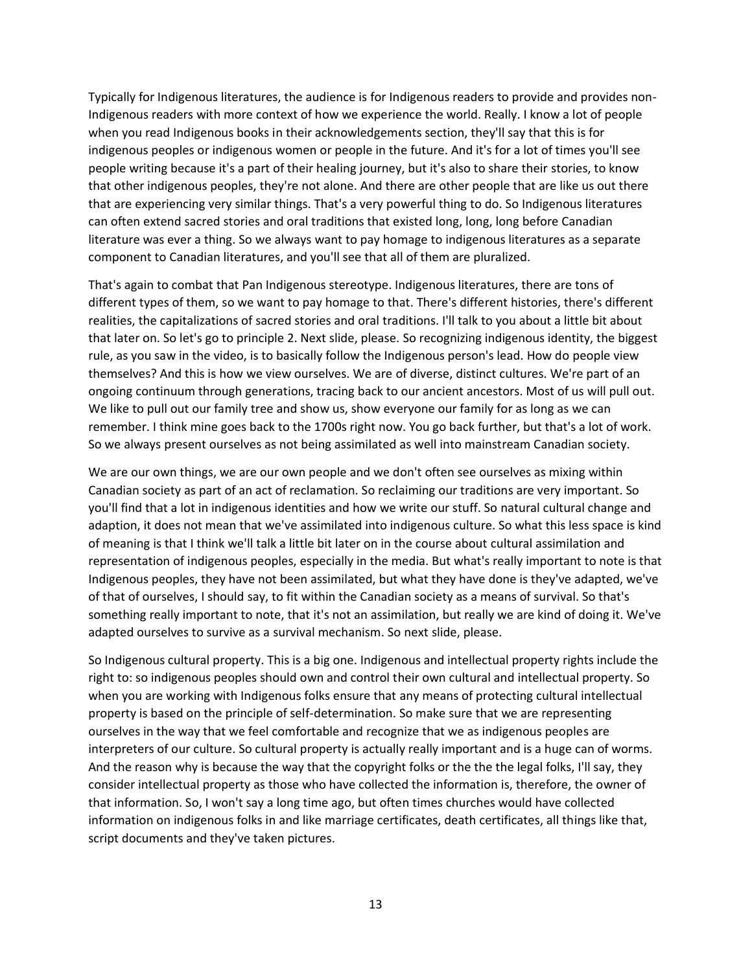Typically for Indigenous literatures, the audience is for Indigenous readers to provide and provides non-Indigenous readers with more context of how we experience the world. Really. I know a lot of people when you read Indigenous books in their acknowledgements section, they'll say that this is for indigenous peoples or indigenous women or people in the future. And it's for a lot of times you'll see people writing because it's a part of their healing journey, but it's also to share their stories, to know that other indigenous peoples, they're not alone. And there are other people that are like us out there that are experiencing very similar things. That's a very powerful thing to do. So Indigenous literatures can often extend sacred stories and oral traditions that existed long, long, long before Canadian literature was ever a thing. So we always want to pay homage to indigenous literatures as a separate component to Canadian literatures, and you'll see that all of them are pluralized.

That's again to combat that Pan Indigenous stereotype. Indigenous literatures, there are tons of different types of them, so we want to pay homage to that. There's different histories, there's different realities, the capitalizations of sacred stories and oral traditions. I'll talk to you about a little bit about that later on. So let's go to principle 2. Next slide, please. So recognizing indigenous identity, the biggest rule, as you saw in the video, is to basically follow the Indigenous person's lead. How do people view themselves? And this is how we view ourselves. We are of diverse, distinct cultures. We're part of an ongoing continuum through generations, tracing back to our ancient ancestors. Most of us will pull out. We like to pull out our family tree and show us, show everyone our family for as long as we can remember. I think mine goes back to the 1700s right now. You go back further, but that's a lot of work. So we always present ourselves as not being assimilated as well into mainstream Canadian society.

We are our own things, we are our own people and we don't often see ourselves as mixing within Canadian society as part of an act of reclamation. So reclaiming our traditions are very important. So you'll find that a lot in indigenous identities and how we write our stuff. So natural cultural change and adaption, it does not mean that we've assimilated into indigenous culture. So what this less space is kind of meaning is that I think we'll talk a little bit later on in the course about cultural assimilation and representation of indigenous peoples, especially in the media. But what's really important to note is that Indigenous peoples, they have not been assimilated, but what they have done is they've adapted, we've of that of ourselves, I should say, to fit within the Canadian society as a means of survival. So that's something really important to note, that it's not an assimilation, but really we are kind of doing it. We've adapted ourselves to survive as a survival mechanism. So next slide, please.

So Indigenous cultural property. This is a big one. Indigenous and intellectual property rights include the right to: so indigenous peoples should own and control their own cultural and intellectual property. So when you are working with Indigenous folks ensure that any means of protecting cultural intellectual property is based on the principle of self-determination. So make sure that we are representing ourselves in the way that we feel comfortable and recognize that we as indigenous peoples are interpreters of our culture. So cultural property is actually really important and is a huge can of worms. And the reason why is because the way that the copyright folks or the the the legal folks, I'll say, they consider intellectual property as those who have collected the information is, therefore, the owner of that information. So, I won't say a long time ago, but often times churches would have collected information on indigenous folks in and like marriage certificates, death certificates, all things like that, script documents and they've taken pictures.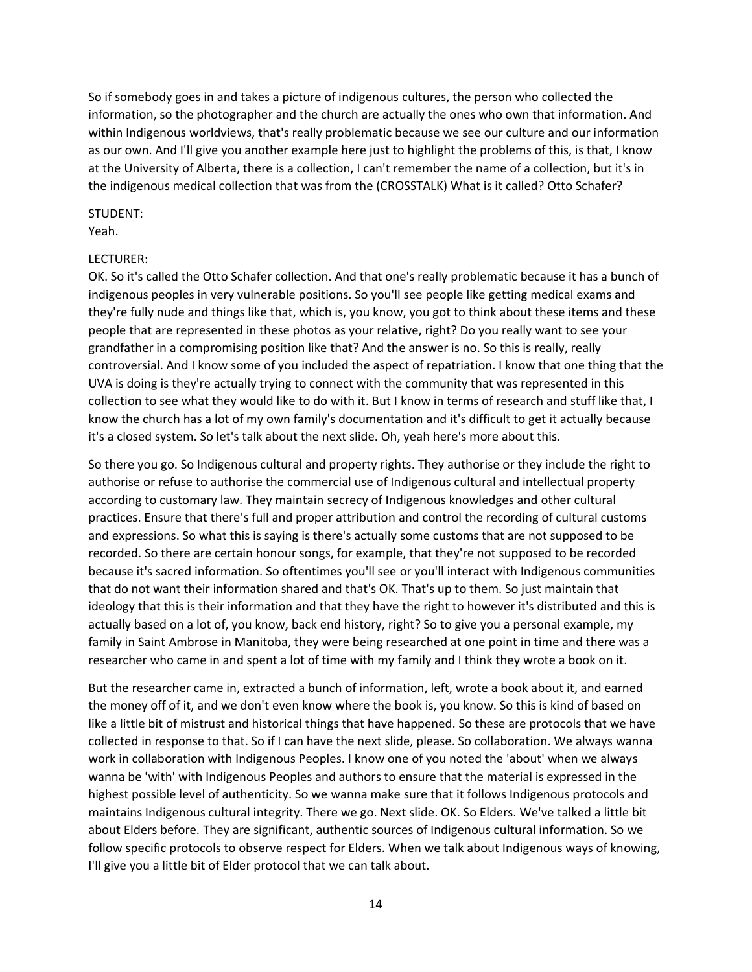So if somebody goes in and takes a picture of indigenous cultures, the person who collected the information, so the photographer and the church are actually the ones who own that information. And within Indigenous worldviews, that's really problematic because we see our culture and our information as our own. And I'll give you another example here just to highlight the problems of this, is that, I know at the University of Alberta, there is a collection, I can't remember the name of a collection, but it's in the indigenous medical collection that was from the (CROSSTALK) What is it called? Otto Schafer?

### STUDENT:

Yeah.

## LECTURER:

OK. So it's called the Otto Schafer collection. And that one's really problematic because it has a bunch of indigenous peoples in very vulnerable positions. So you'll see people like getting medical exams and they're fully nude and things like that, which is, you know, you got to think about these items and these people that are represented in these photos as your relative, right? Do you really want to see your grandfather in a compromising position like that? And the answer is no. So this is really, really controversial. And I know some of you included the aspect of repatriation. I know that one thing that the UVA is doing is they're actually trying to connect with the community that was represented in this collection to see what they would like to do with it. But I know in terms of research and stuff like that, I know the church has a lot of my own family's documentation and it's difficult to get it actually because it's a closed system. So let's talk about the next slide. Oh, yeah here's more about this.

So there you go. So Indigenous cultural and property rights. They authorise or they include the right to authorise or refuse to authorise the commercial use of Indigenous cultural and intellectual property according to customary law. They maintain secrecy of Indigenous knowledges and other cultural practices. Ensure that there's full and proper attribution and control the recording of cultural customs and expressions. So what this is saying is there's actually some customs that are not supposed to be recorded. So there are certain honour songs, for example, that they're not supposed to be recorded because it's sacred information. So oftentimes you'll see or you'll interact with Indigenous communities that do not want their information shared and that's OK. That's up to them. So just maintain that ideology that this is their information and that they have the right to however it's distributed and this is actually based on a lot of, you know, back end history, right? So to give you a personal example, my family in Saint Ambrose in Manitoba, they were being researched at one point in time and there was a researcher who came in and spent a lot of time with my family and I think they wrote a book on it.

But the researcher came in, extracted a bunch of information, left, wrote a book about it, and earned the money off of it, and we don't even know where the book is, you know. So this is kind of based on like a little bit of mistrust and historical things that have happened. So these are protocols that we have collected in response to that. So if I can have the next slide, please. So collaboration. We always wanna work in collaboration with Indigenous Peoples. I know one of you noted the 'about' when we always wanna be 'with' with Indigenous Peoples and authors to ensure that the material is expressed in the highest possible level of authenticity. So we wanna make sure that it follows Indigenous protocols and maintains Indigenous cultural integrity. There we go. Next slide. OK. So Elders. We've talked a little bit about Elders before. They are significant, authentic sources of Indigenous cultural information. So we follow specific protocols to observe respect for Elders. When we talk about Indigenous ways of knowing, I'll give you a little bit of Elder protocol that we can talk about.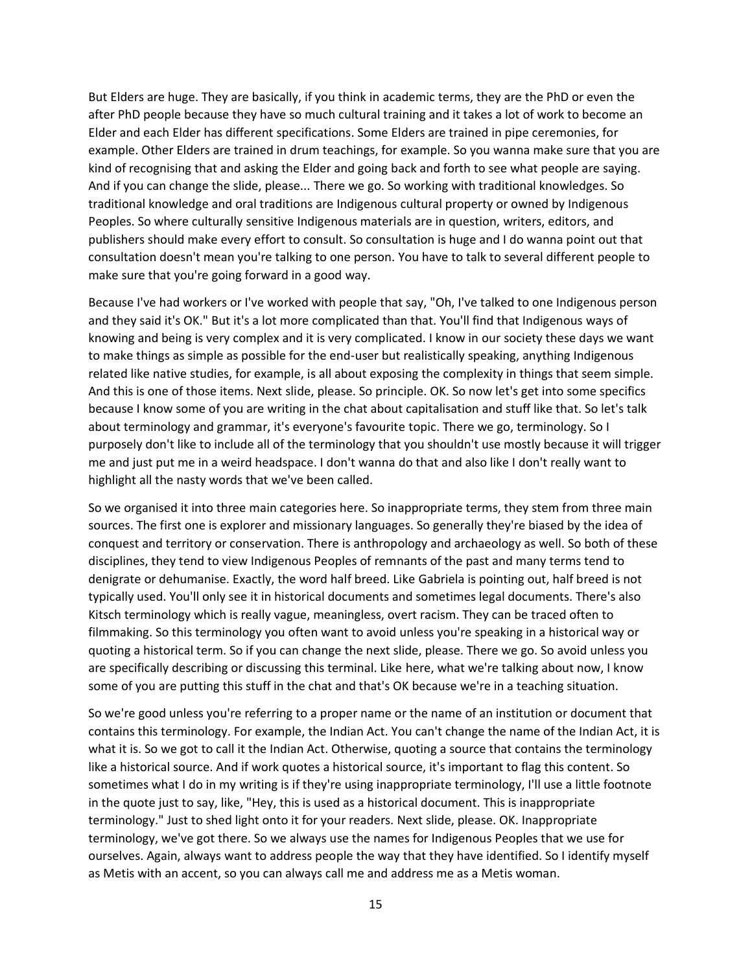But Elders are huge. They are basically, if you think in academic terms, they are the PhD or even the after PhD people because they have so much cultural training and it takes a lot of work to become an Elder and each Elder has different specifications. Some Elders are trained in pipe ceremonies, for example. Other Elders are trained in drum teachings, for example. So you wanna make sure that you are kind of recognising that and asking the Elder and going back and forth to see what people are saying. And if you can change the slide, please... There we go. So working with traditional knowledges. So traditional knowledge and oral traditions are Indigenous cultural property or owned by Indigenous Peoples. So where culturally sensitive Indigenous materials are in question, writers, editors, and publishers should make every effort to consult. So consultation is huge and I do wanna point out that consultation doesn't mean you're talking to one person. You have to talk to several different people to make sure that you're going forward in a good way.

Because I've had workers or I've worked with people that say, "Oh, I've talked to one Indigenous person and they said it's OK." But it's a lot more complicated than that. You'll find that Indigenous ways of knowing and being is very complex and it is very complicated. I know in our society these days we want to make things as simple as possible for the end-user but realistically speaking, anything Indigenous related like native studies, for example, is all about exposing the complexity in things that seem simple. And this is one of those items. Next slide, please. So principle. OK. So now let's get into some specifics because I know some of you are writing in the chat about capitalisation and stuff like that. So let's talk about terminology and grammar, it's everyone's favourite topic. There we go, terminology. So I purposely don't like to include all of the terminology that you shouldn't use mostly because it will trigger me and just put me in a weird headspace. I don't wanna do that and also like I don't really want to highlight all the nasty words that we've been called.

So we organised it into three main categories here. So inappropriate terms, they stem from three main sources. The first one is explorer and missionary languages. So generally they're biased by the idea of conquest and territory or conservation. There is anthropology and archaeology as well. So both of these disciplines, they tend to view Indigenous Peoples of remnants of the past and many terms tend to denigrate or dehumanise. Exactly, the word half breed. Like Gabriela is pointing out, half breed is not typically used. You'll only see it in historical documents and sometimes legal documents. There's also Kitsch terminology which is really vague, meaningless, overt racism. They can be traced often to filmmaking. So this terminology you often want to avoid unless you're speaking in a historical way or quoting a historical term. So if you can change the next slide, please. There we go. So avoid unless you are specifically describing or discussing this terminal. Like here, what we're talking about now, I know some of you are putting this stuff in the chat and that's OK because we're in a teaching situation.

So we're good unless you're referring to a proper name or the name of an institution or document that contains this terminology. For example, the Indian Act. You can't change the name of the Indian Act, it is what it is. So we got to call it the Indian Act. Otherwise, quoting a source that contains the terminology like a historical source. And if work quotes a historical source, it's important to flag this content. So sometimes what I do in my writing is if they're using inappropriate terminology, I'll use a little footnote in the quote just to say, like, "Hey, this is used as a historical document. This is inappropriate terminology." Just to shed light onto it for your readers. Next slide, please. OK. Inappropriate terminology, we've got there. So we always use the names for Indigenous Peoples that we use for ourselves. Again, always want to address people the way that they have identified. So I identify myself as Metis with an accent, so you can always call me and address me as a Metis woman.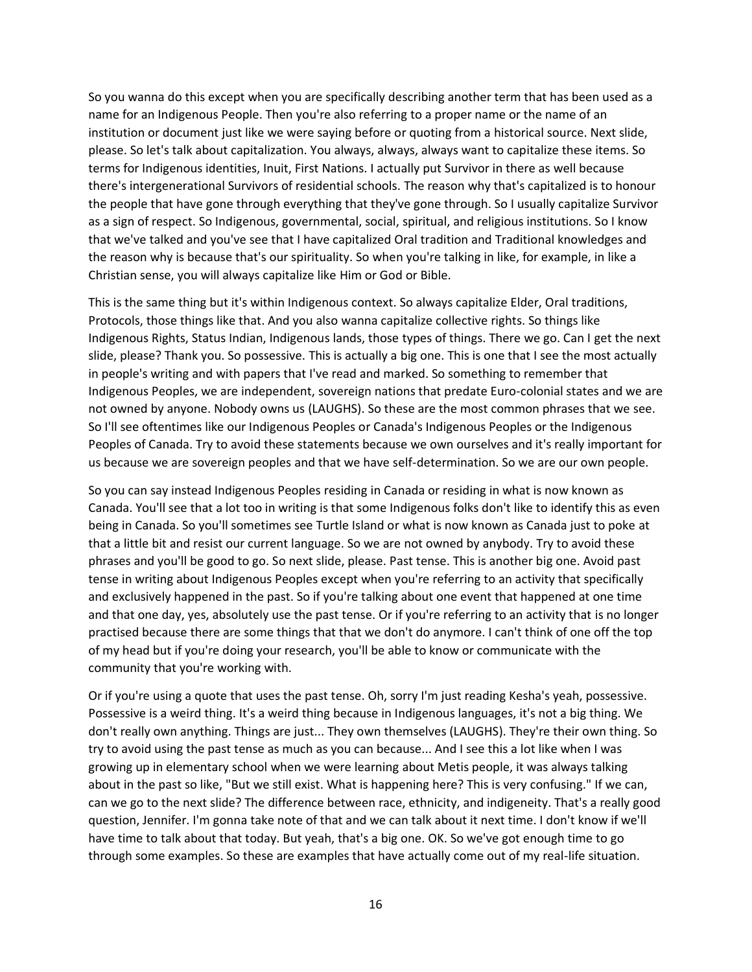So you wanna do this except when you are specifically describing another term that has been used as a name for an Indigenous People. Then you're also referring to a proper name or the name of an institution or document just like we were saying before or quoting from a historical source. Next slide, please. So let's talk about capitalization. You always, always, always want to capitalize these items. So terms for Indigenous identities, Inuit, First Nations. I actually put Survivor in there as well because there's intergenerational Survivors of residential schools. The reason why that's capitalized is to honour the people that have gone through everything that they've gone through. So I usually capitalize Survivor as a sign of respect. So Indigenous, governmental, social, spiritual, and religious institutions. So I know that we've talked and you've see that I have capitalized Oral tradition and Traditional knowledges and the reason why is because that's our spirituality. So when you're talking in like, for example, in like a Christian sense, you will always capitalize like Him or God or Bible.

This is the same thing but it's within Indigenous context. So always capitalize Elder, Oral traditions, Protocols, those things like that. And you also wanna capitalize collective rights. So things like Indigenous Rights, Status Indian, Indigenous lands, those types of things. There we go. Can I get the next slide, please? Thank you. So possessive. This is actually a big one. This is one that I see the most actually in people's writing and with papers that I've read and marked. So something to remember that Indigenous Peoples, we are independent, sovereign nations that predate Euro-colonial states and we are not owned by anyone. Nobody owns us (LAUGHS). So these are the most common phrases that we see. So I'll see oftentimes like our Indigenous Peoples or Canada's Indigenous Peoples or the Indigenous Peoples of Canada. Try to avoid these statements because we own ourselves and it's really important for us because we are sovereign peoples and that we have self-determination. So we are our own people.

So you can say instead Indigenous Peoples residing in Canada or residing in what is now known as Canada. You'll see that a lot too in writing is that some Indigenous folks don't like to identify this as even being in Canada. So you'll sometimes see Turtle Island or what is now known as Canada just to poke at that a little bit and resist our current language. So we are not owned by anybody. Try to avoid these phrases and you'll be good to go. So next slide, please. Past tense. This is another big one. Avoid past tense in writing about Indigenous Peoples except when you're referring to an activity that specifically and exclusively happened in the past. So if you're talking about one event that happened at one time and that one day, yes, absolutely use the past tense. Or if you're referring to an activity that is no longer practised because there are some things that that we don't do anymore. I can't think of one off the top of my head but if you're doing your research, you'll be able to know or communicate with the community that you're working with.

Or if you're using a quote that uses the past tense. Oh, sorry I'm just reading Kesha's yeah, possessive. Possessive is a weird thing. It's a weird thing because in Indigenous languages, it's not a big thing. We don't really own anything. Things are just... They own themselves (LAUGHS). They're their own thing. So try to avoid using the past tense as much as you can because... And I see this a lot like when I was growing up in elementary school when we were learning about Metis people, it was always talking about in the past so like, "But we still exist. What is happening here? This is very confusing." If we can, can we go to the next slide? The difference between race, ethnicity, and indigeneity. That's a really good question, Jennifer. I'm gonna take note of that and we can talk about it next time. I don't know if we'll have time to talk about that today. But yeah, that's a big one. OK. So we've got enough time to go through some examples. So these are examples that have actually come out of my real-life situation.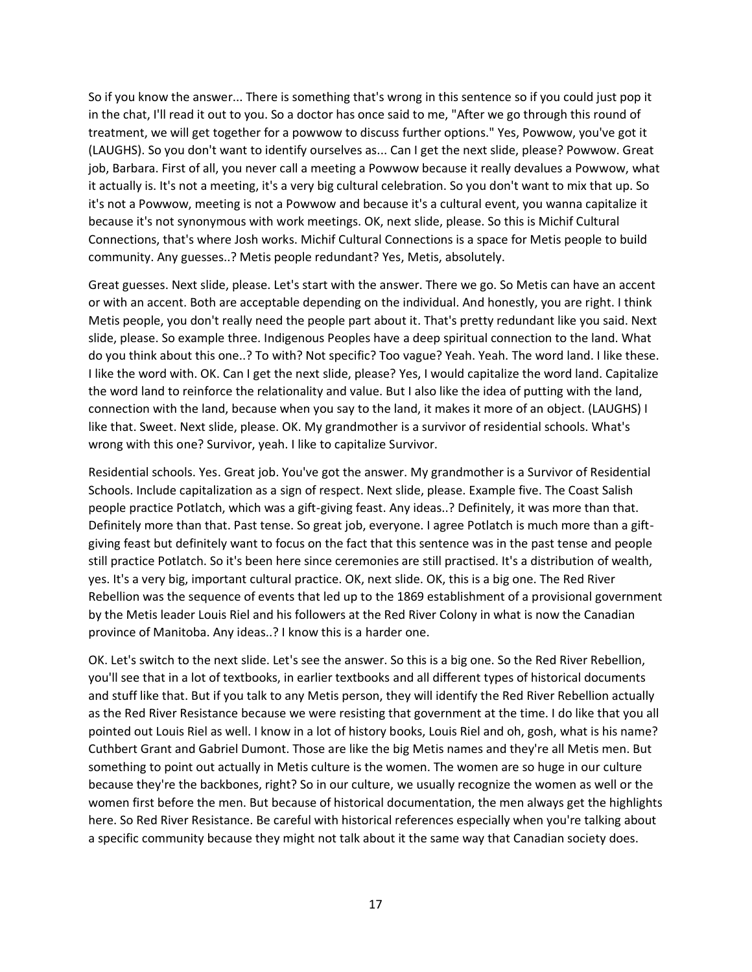So if you know the answer... There is something that's wrong in this sentence so if you could just pop it in the chat, I'll read it out to you. So a doctor has once said to me, "After we go through this round of treatment, we will get together for a powwow to discuss further options." Yes, Powwow, you've got it (LAUGHS). So you don't want to identify ourselves as... Can I get the next slide, please? Powwow. Great job, Barbara. First of all, you never call a meeting a Powwow because it really devalues a Powwow, what it actually is. It's not a meeting, it's a very big cultural celebration. So you don't want to mix that up. So it's not a Powwow, meeting is not a Powwow and because it's a cultural event, you wanna capitalize it because it's not synonymous with work meetings. OK, next slide, please. So this is Michif Cultural Connections, that's where Josh works. Michif Cultural Connections is a space for Metis people to build community. Any guesses..? Metis people redundant? Yes, Metis, absolutely.

Great guesses. Next slide, please. Let's start with the answer. There we go. So Metis can have an accent or with an accent. Both are acceptable depending on the individual. And honestly, you are right. I think Metis people, you don't really need the people part about it. That's pretty redundant like you said. Next slide, please. So example three. Indigenous Peoples have a deep spiritual connection to the land. What do you think about this one..? To with? Not specific? Too vague? Yeah. Yeah. The word land. I like these. I like the word with. OK. Can I get the next slide, please? Yes, I would capitalize the word land. Capitalize the word land to reinforce the relationality and value. But I also like the idea of putting with the land, connection with the land, because when you say to the land, it makes it more of an object. (LAUGHS) I like that. Sweet. Next slide, please. OK. My grandmother is a survivor of residential schools. What's wrong with this one? Survivor, yeah. I like to capitalize Survivor.

Residential schools. Yes. Great job. You've got the answer. My grandmother is a Survivor of Residential Schools. Include capitalization as a sign of respect. Next slide, please. Example five. The Coast Salish people practice Potlatch, which was a gift-giving feast. Any ideas..? Definitely, it was more than that. Definitely more than that. Past tense. So great job, everyone. I agree Potlatch is much more than a giftgiving feast but definitely want to focus on the fact that this sentence was in the past tense and people still practice Potlatch. So it's been here since ceremonies are still practised. It's a distribution of wealth, yes. It's a very big, important cultural practice. OK, next slide. OK, this is a big one. The Red River Rebellion was the sequence of events that led up to the 1869 establishment of a provisional government by the Metis leader Louis Riel and his followers at the Red River Colony in what is now the Canadian province of Manitoba. Any ideas..? I know this is a harder one.

OK. Let's switch to the next slide. Let's see the answer. So this is a big one. So the Red River Rebellion, you'll see that in a lot of textbooks, in earlier textbooks and all different types of historical documents and stuff like that. But if you talk to any Metis person, they will identify the Red River Rebellion actually as the Red River Resistance because we were resisting that government at the time. I do like that you all pointed out Louis Riel as well. I know in a lot of history books, Louis Riel and oh, gosh, what is his name? Cuthbert Grant and Gabriel Dumont. Those are like the big Metis names and they're all Metis men. But something to point out actually in Metis culture is the women. The women are so huge in our culture because they're the backbones, right? So in our culture, we usually recognize the women as well or the women first before the men. But because of historical documentation, the men always get the highlights here. So Red River Resistance. Be careful with historical references especially when you're talking about a specific community because they might not talk about it the same way that Canadian society does.